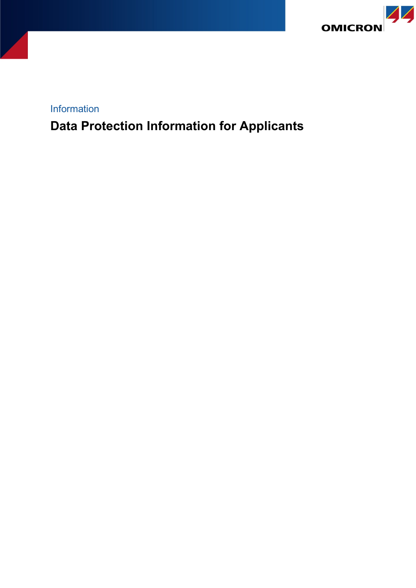

Information

**Data Protection Information for Applicants**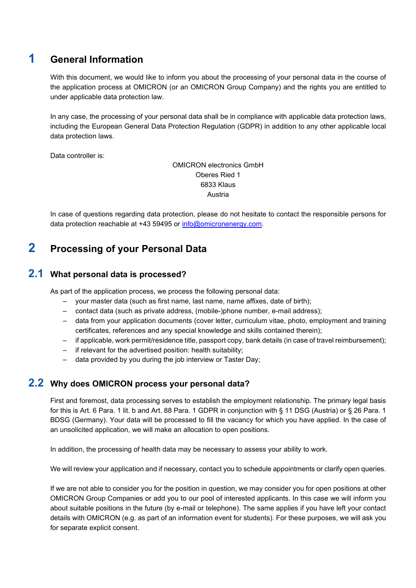# **1 General Information**

With this document, we would like to inform you about the processing of your personal data in the course of the application process at OMICRON (or an OMICRON Group Company) and the rights you are entitled to under applicable data protection law.

In any case, the processing of your personal data shall be in compliance with applicable data protection laws, including the European General Data Protection Regulation (GDPR) in addition to any other applicable local data protection laws.

Data controller is:

OMICRON electronics GmbH Oberes Ried 1 6833 Klaus Austria

In case of questions regarding data protection, please do not hesitate to contact the responsible persons for data protection reachable at +43 59495 or [info@omicronenergy.com.](mailto:info@omicronenergy.com)

# **2 Processing of your Personal Data**

### **2.1 What personal data is processed?**

As part of the application process, we process the following personal data:

- your master data (such as first name, last name, name affixes, date of birth);
- contact data (such as private address, (mobile-)phone number, e-mail address);
- data from your application documents (cover letter, curriculum vitae, photo, employment and training certificates, references and any special knowledge and skills contained therein);
- if applicable, work permit/residence title, passport copy, bank details (in case of travel reimbursement);
- if relevant for the advertised position: health suitability;
- data provided by you during the job interview or Taster Day;

#### **2.2 Why does OMICRON process your personal data?**

First and foremost, data processing serves to establish the employment relationship. The primary legal basis for this is Art. 6 Para. 1 lit. b and Art. 88 Para. 1 GDPR in conjunction with § 11 DSG (Austria) or § 26 Para. 1 BDSG (Germany). Your data will be processed to fill the vacancy for which you have applied. In the case of an unsolicited application, we will make an allocation to open positions.

In addition, the processing of health data may be necessary to assess your ability to work.

We will review your application and if necessary, contact you to schedule appointments or clarify open queries.

If we are not able to consider you for the position in question, we may consider you for open positions at other OMICRON Group Companies or add you to our pool of interested applicants. In this case we will inform you about suitable positions in the future (by e-mail or telephone). The same applies if you have left your contact details with OMICRON (e.g. as part of an information event for students). For these purposes, we will ask you for separate explicit consent.